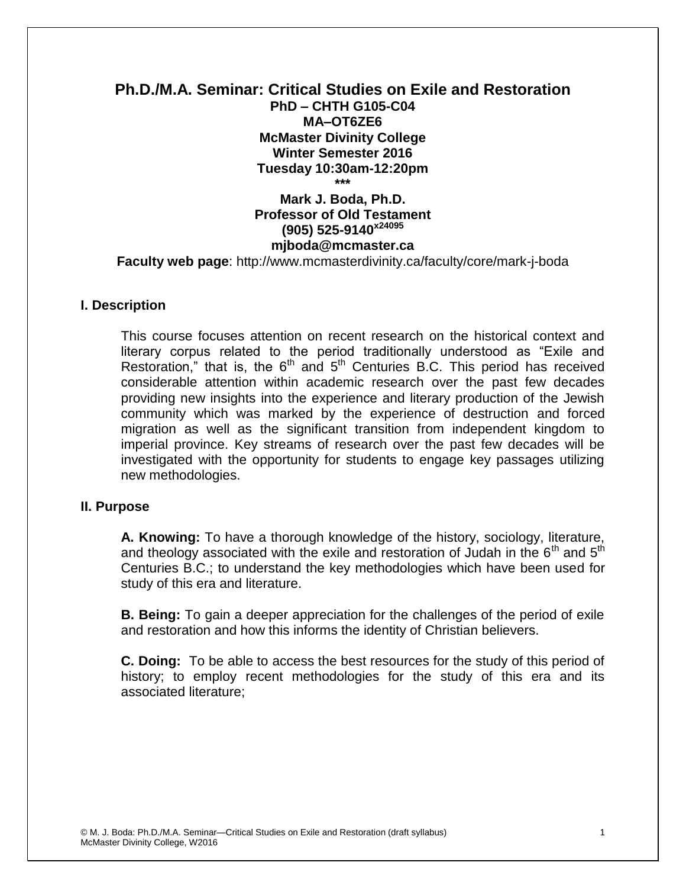# **Ph.D./M.A. Seminar: Critical Studies on Exile and Restoration PhD – CHTH G105-C04 MA–OT6ZE6 McMaster Divinity College Winter Semester 2016 Tuesday 10:30am-12:20pm \*\*\***

**Mark J. Boda, Ph.D. Professor of Old Testament (905) 525-9140x24095 mjboda@mcmaster.ca Faculty web page**: http://www.mcmasterdivinity.ca/faculty/core/mark-j-boda

# **I. Description**

This course focuses attention on recent research on the historical context and literary corpus related to the period traditionally understood as "Exile and Restoration," that is, the  $6<sup>th</sup>$  and  $5<sup>th</sup>$  Centuries B.C. This period has received considerable attention within academic research over the past few decades providing new insights into the experience and literary production of the Jewish community which was marked by the experience of destruction and forced migration as well as the significant transition from independent kingdom to imperial province. Key streams of research over the past few decades will be investigated with the opportunity for students to engage key passages utilizing new methodologies.

# **II. Purpose**

**A. Knowing:** To have a thorough knowledge of the history, sociology, literature, and theology associated with the exile and restoration of Judah in the  $6<sup>th</sup>$  and  $5<sup>th</sup>$ Centuries B.C.; to understand the key methodologies which have been used for study of this era and literature.

**B. Being:** To gain a deeper appreciation for the challenges of the period of exile and restoration and how this informs the identity of Christian believers.

**C. Doing:** To be able to access the best resources for the study of this period of history; to employ recent methodologies for the study of this era and its associated literature;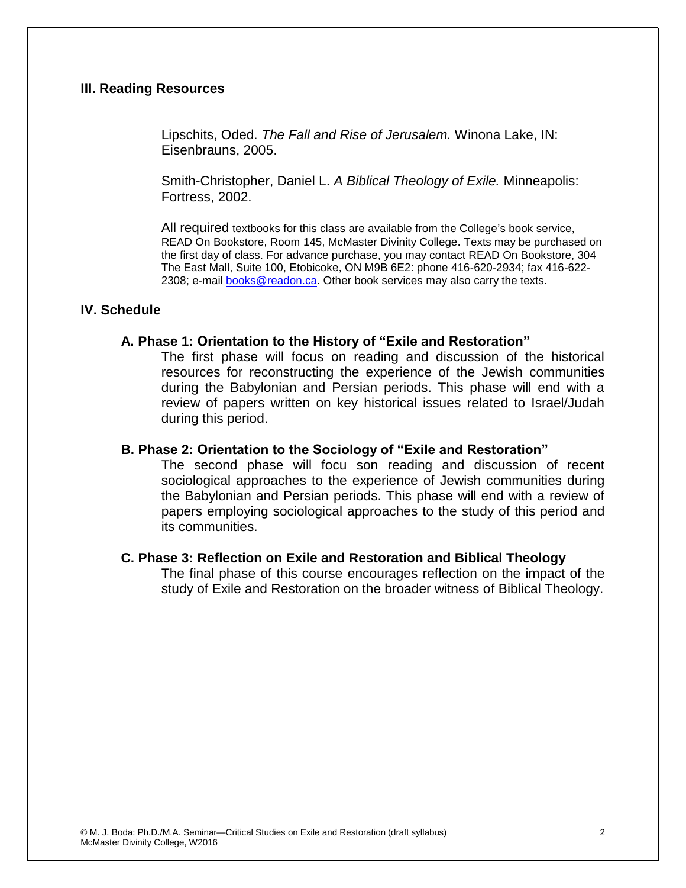# **III. Reading Resources**

Lipschits, Oded. *The Fall and Rise of Jerusalem.* Winona Lake, IN: Eisenbrauns, 2005.

Smith-Christopher, Daniel L. *A Biblical Theology of Exile.* Minneapolis: Fortress, 2002.

All required textbooks for this class are available from the College's book service, READ On Bookstore, Room 145, McMaster Divinity College. Texts may be purchased on the first day of class. For advance purchase, you may contact READ On Bookstore, 304 The East Mall, Suite 100, Etobicoke, ON M9B 6E2: phone 416-620-2934; fax 416-622 2308; e-mail [books@readon.ca.](mailto:books@readon.ca) Other book services may also carry the texts.

#### **IV. Schedule**

#### **A. Phase 1: Orientation to the History of "Exile and Restoration"**

The first phase will focus on reading and discussion of the historical resources for reconstructing the experience of the Jewish communities during the Babylonian and Persian periods. This phase will end with a review of papers written on key historical issues related to Israel/Judah during this period.

#### **B. Phase 2: Orientation to the Sociology of "Exile and Restoration"**

The second phase will focu son reading and discussion of recent sociological approaches to the experience of Jewish communities during the Babylonian and Persian periods. This phase will end with a review of papers employing sociological approaches to the study of this period and its communities.

#### **C. Phase 3: Reflection on Exile and Restoration and Biblical Theology**

The final phase of this course encourages reflection on the impact of the study of Exile and Restoration on the broader witness of Biblical Theology.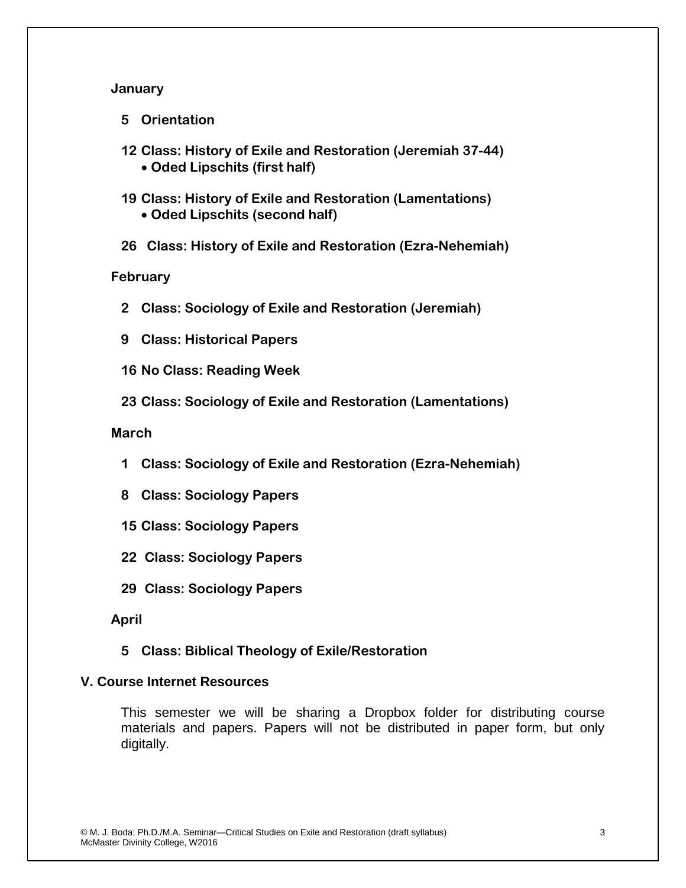# **January**

**5 Orientation**

- **12 Class: History of Exile and Restoration (Jeremiah 37-44) Oded Lipschits (first half)**
- **19 Class: History of Exile and Restoration (Lamentations) Oded Lipschits (second half)**
- **26 Class: History of Exile and Restoration (Ezra-Nehemiah)**

**February**

- **2 Class: Sociology of Exile and Restoration (Jeremiah)**
- **9 Class: Historical Papers**
- **16 No Class: Reading Week**
- **23 Class: Sociology of Exile and Restoration (Lamentations)**

**March**

- **1 Class: Sociology of Exile and Restoration (Ezra-Nehemiah)**
- **8 Class: Sociology Papers**
- **15 Class: Sociology Papers**
- **22 Class: Sociology Papers**
- **29 Class: Sociology Papers**

# **April**

**5 Class: Biblical Theology of Exile/Restoration** 

# **V. Course Internet Resources**

This semester we will be sharing a Dropbox folder for distributing course materials and papers. Papers will not be distributed in paper form, but only digitally.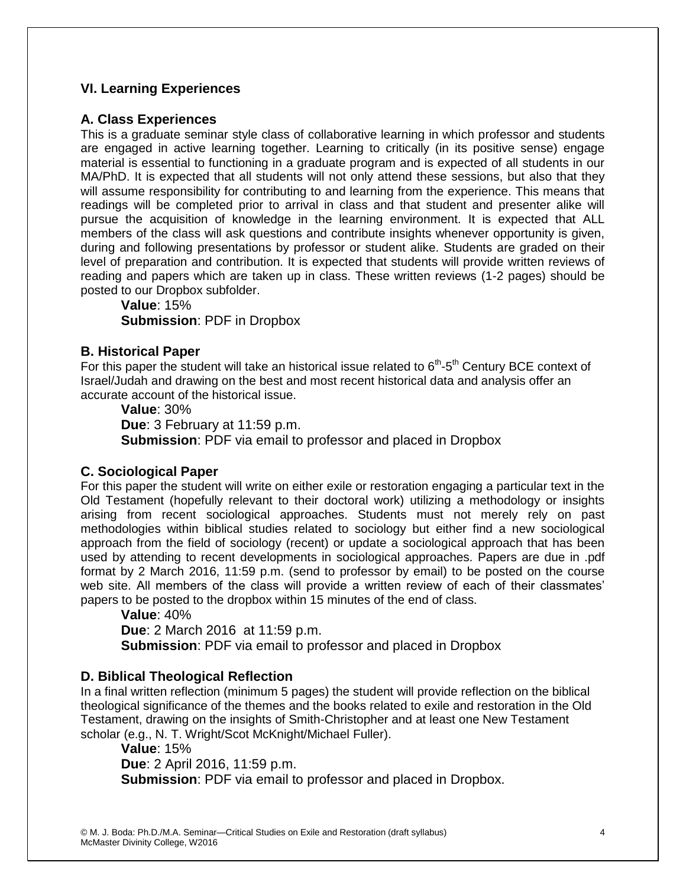# **VI. Learning Experiences**

# **A. Class Experiences**

This is a graduate seminar style class of collaborative learning in which professor and students are engaged in active learning together. Learning to critically (in its positive sense) engage material is essential to functioning in a graduate program and is expected of all students in our MA/PhD. It is expected that all students will not only attend these sessions, but also that they will assume responsibility for contributing to and learning from the experience. This means that readings will be completed prior to arrival in class and that student and presenter alike will pursue the acquisition of knowledge in the learning environment. It is expected that ALL members of the class will ask questions and contribute insights whenever opportunity is given, during and following presentations by professor or student alike. Students are graded on their level of preparation and contribution. It is expected that students will provide written reviews of reading and papers which are taken up in class. These written reviews (1-2 pages) should be posted to our Dropbox subfolder.

**Value**: 15%

**Submission**: PDF in Dropbox

# **B. Historical Paper**

For this paper the student will take an historical issue related to  $6<sup>th</sup>$ - $5<sup>th</sup>$  Century BCE context of Israel/Judah and drawing on the best and most recent historical data and analysis offer an accurate account of the historical issue.

**Value**: 30% **Due**: 3 February at 11:59 p.m. **Submission**: PDF via email to professor and placed in Dropbox

# **C. Sociological Paper**

For this paper the student will write on either exile or restoration engaging a particular text in the Old Testament (hopefully relevant to their doctoral work) utilizing a methodology or insights arising from recent sociological approaches. Students must not merely rely on past methodologies within biblical studies related to sociology but either find a new sociological approach from the field of sociology (recent) or update a sociological approach that has been used by attending to recent developments in sociological approaches. Papers are due in .pdf format by 2 March 2016, 11:59 p.m. (send to professor by email) to be posted on the course web site. All members of the class will provide a written review of each of their classmates' papers to be posted to the dropbox within 15 minutes of the end of class.

**Value**: 40%

**Due**: 2 March 2016 at 11:59 p.m.

**Submission**: PDF via email to professor and placed in Dropbox

# **D. Biblical Theological Reflection**

In a final written reflection (minimum 5 pages) the student will provide reflection on the biblical theological significance of the themes and the books related to exile and restoration in the Old Testament, drawing on the insights of Smith-Christopher and at least one New Testament scholar (e.g., N. T. Wright/Scot McKnight/Michael Fuller).

**Value**: 15% **Due**: 2 April 2016, 11:59 p.m. **Submission**: PDF via email to professor and placed in Dropbox.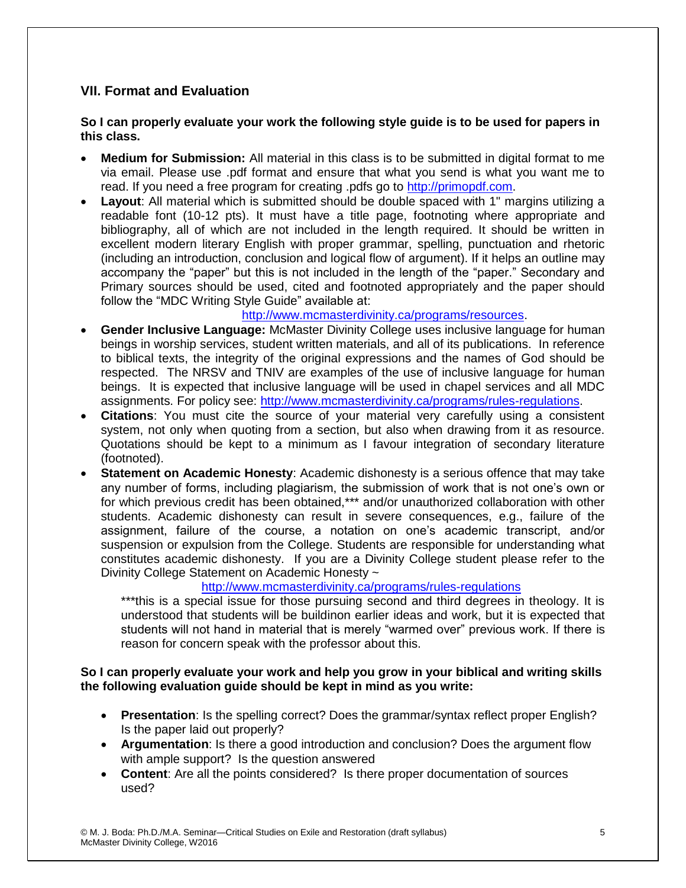# **VII. Format and Evaluation**

#### **So I can properly evaluate your work the following style guide is to be used for papers in this class.**

- **Medium for Submission:** All material in this class is to be submitted in digital format to me via email. Please use .pdf format and ensure that what you send is what you want me to read. If you need a free program for creating .pdfs go to [http://primopdf.com.](http://primopdf.com/)
- **Layout**: All material which is submitted should be double spaced with 1" margins utilizing a readable font (10-12 pts). It must have a title page, footnoting where appropriate and bibliography, all of which are not included in the length required. It should be written in excellent modern literary English with proper grammar, spelling, punctuation and rhetoric (including an introduction, conclusion and logical flow of argument). If it helps an outline may accompany the "paper" but this is not included in the length of the "paper." Secondary and Primary sources should be used, cited and footnoted appropriately and the paper should follow the "MDC Writing Style Guide" available at:

### [http://www.mcmasterdivinity.ca/programs/resources.](http://www.mcmasterdivinity.ca/programs/resources)

- **Gender Inclusive Language:** McMaster Divinity College uses inclusive language for human beings in worship services, student written materials, and all of its publications. In reference to biblical texts, the integrity of the original expressions and the names of God should be respected. The NRSV and TNIV are examples of the use of inclusive language for human beings. It is expected that inclusive language will be used in chapel services and all MDC assignments. For policy see: [http://www.mcmasterdivinity.ca/programs/rules-regulations.](http://www.mcmasterdivinity.ca/programs/rules-regulations)
- **Citations**: You must cite the source of your material very carefully using a consistent system, not only when quoting from a section, but also when drawing from it as resource. Quotations should be kept to a minimum as I favour integration of secondary literature (footnoted).
- **Statement on Academic Honesty**: Academic dishonesty is a serious offence that may take any number of forms, including plagiarism, the submission of work that is not one's own or for which previous credit has been obtained,\*\*\* and/or unauthorized collaboration with other students. Academic dishonesty can result in severe consequences, e.g., failure of the assignment, failure of the course, a notation on one's academic transcript, and/or suspension or expulsion from the College. Students are responsible for understanding what constitutes academic dishonesty. If you are a Divinity College student please refer to the Divinity College Statement on Academic Honesty ~

# <http://www.mcmasterdivinity.ca/programs/rules-regulations>

\*\*\*this is a special issue for those pursuing second and third degrees in theology. It is understood that students will be buildinon earlier ideas and work, but it is expected that students will not hand in material that is merely "warmed over" previous work. If there is reason for concern speak with the professor about this.

### **So I can properly evaluate your work and help you grow in your biblical and writing skills the following evaluation guide should be kept in mind as you write:**

- **Presentation**: Is the spelling correct? Does the grammar/syntax reflect proper English? Is the paper laid out properly?
- **Argumentation**: Is there a good introduction and conclusion? Does the argument flow with ample support? Is the question answered
- **Content**: Are all the points considered? Is there proper documentation of sources used?